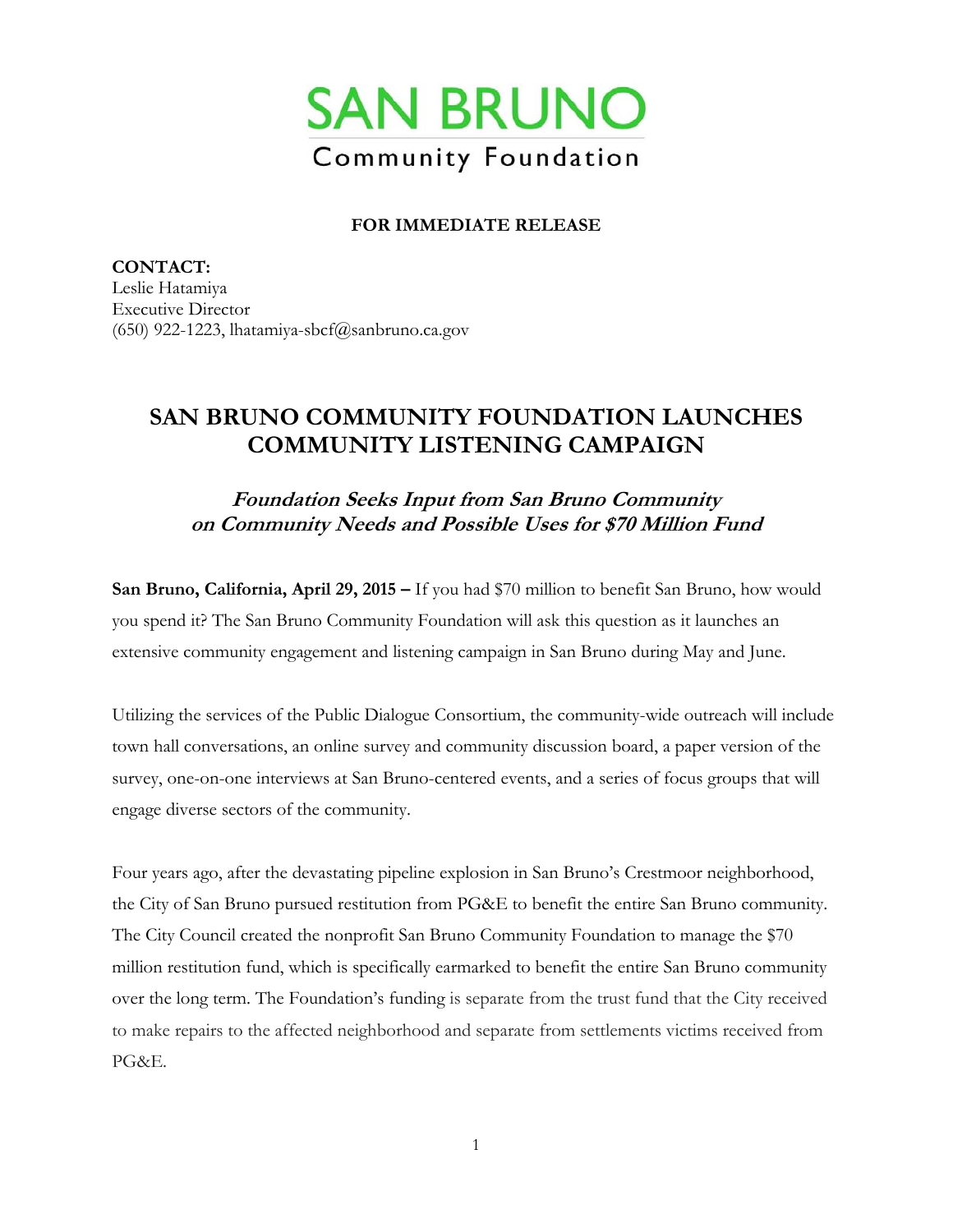

## **FOR IMMEDIATE RELEASE**

**CONTACT:**  Leslie Hatamiya Executive Director (650) 922-1223, lhatamiya-sbcf $@$ sanbruno.ca.gov

## **SAN BRUNO COMMUNITY FOUNDATION LAUNCHES COMMUNITY LISTENING CAMPAIGN**

**Foundation Seeks Input from San Bruno Community on Community Needs and Possible Uses for \$70 Million Fund** 

**San Bruno, California, April 29, 2015 –** If you had \$70 million to benefit San Bruno, how would you spend it? The San Bruno Community Foundation will ask this question as it launches an extensive community engagement and listening campaign in San Bruno during May and June.

Utilizing the services of the Public Dialogue Consortium, the community-wide outreach will include town hall conversations, an online survey and community discussion board, a paper version of the survey, one-on-one interviews at San Bruno-centered events, and a series of focus groups that will engage diverse sectors of the community.

Four years ago, after the devastating pipeline explosion in San Bruno's Crestmoor neighborhood, the City of San Bruno pursued restitution from PG&E to benefit the entire San Bruno community. The City Council created the nonprofit San Bruno Community Foundation to manage the \$70 million restitution fund, which is specifically earmarked to benefit the entire San Bruno community over the long term. The Foundation's funding is separate from the trust fund that the City received to make repairs to the affected neighborhood and separate from settlements victims received from PG&E.